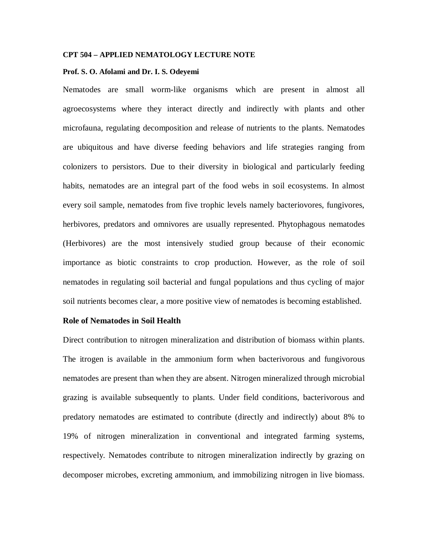### **CPT 504 – APPLIED NEMATOLOGY LECTURE NOTE**

#### **Prof. S. O. Afolami and Dr. I. S. Odeyemi**

Nematodes are small worm-like organisms which are present in almost all agroecosystems where they interact directly and indirectly with plants and other microfauna, regulating decomposition and release of nutrients to the plants. Nematodes are ubiquitous and have diverse feeding behaviors and life strategies ranging from colonizers to persistors. Due to their diversity in biological and particularly feeding habits, nematodes are an integral part of the food webs in soil ecosystems. In almost every soil sample, nematodes from five trophic levels namely bacteriovores, fungivores, herbivores, predators and omnivores are usually represented. Phytophagous nematodes (Herbivores) are the most intensively studied group because of their economic importance as biotic constraints to crop production. However, as the role of soil nematodes in regulating soil bacterial and fungal populations and thus cycling of major soil nutrients becomes clear, a more positive view of nematodes is becoming established.

### **Role of Nematodes in Soil Health**

Direct contribution to nitrogen mineralization and distribution of biomass within plants. The itrogen is available in the ammonium form when bacterivorous and fungivorous nematodes are present than when they are absent. Nitrogen mineralized through microbial grazing is available subsequently to plants. Under field conditions, bacterivorous and predatory nematodes are estimated to contribute (directly and indirectly) about 8% to 19% of nitrogen mineralization in conventional and integrated farming systems, respectively. Nematodes contribute to nitrogen mineralization indirectly by grazing on decomposer microbes, excreting ammonium, and immobilizing nitrogen in live biomass.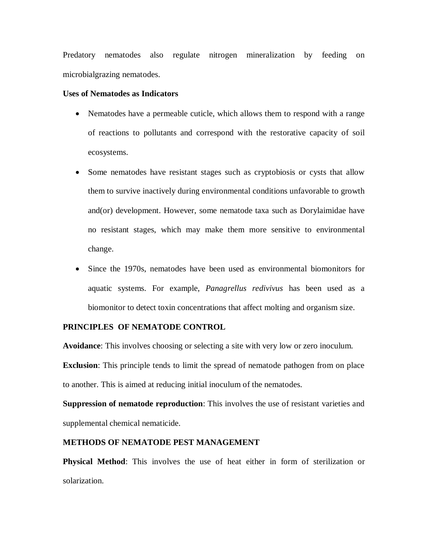Predatory nematodes also regulate nitrogen mineralization by feeding on microbialgrazing nematodes.

### **Uses of Nematodes as Indicators**

- Nematodes have a permeable cuticle, which allows them to respond with a range of reactions to pollutants and correspond with the restorative capacity of soil ecosystems.
- Some nematodes have resistant stages such as cryptobiosis or cysts that allow them to survive inactively during environmental conditions unfavorable to growth and(or) development. However, some nematode taxa such as Dorylaimidae have no resistant stages, which may make them more sensitive to environmental change.
- Since the 1970s, nematodes have been used as environmental biomonitors for aquatic systems. For example, *Panagrellus redivivus* has been used as a biomonitor to detect toxin concentrations that affect molting and organism size.

## **PRINCIPLES OF NEMATODE CONTROL**

**Avoidance**: This involves choosing or selecting a site with very low or zero inoculum.

**Exclusion**: This principle tends to limit the spread of nematode pathogen from on place to another. This is aimed at reducing initial inoculum of the nematodes.

**Suppression of nematode reproduction**: This involves the use of resistant varieties and supplemental chemical nematicide.

# **METHODS OF NEMATODE PEST MANAGEMENT**

**Physical Method**: This involves the use of heat either in form of sterilization or solarization.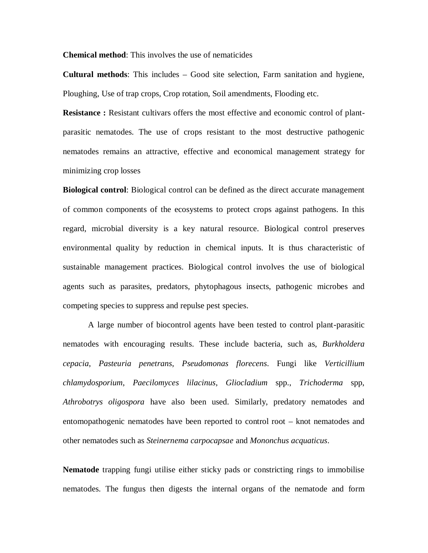**Chemical method**: This involves the use of nematicides

**Cultural methods**: This includes – Good site selection, Farm sanitation and hygiene, Ploughing, Use of trap crops, Crop rotation, Soil amendments, Flooding etc.

**Resistance :** Resistant cultivars offers the most effective and economic control of plantparasitic nematodes. The use of crops resistant to the most destructive pathogenic nematodes remains an attractive, effective and economical management strategy for minimizing crop losses

**Biological control**: Biological control can be defined as the direct accurate management of common components of the ecosystems to protect crops against pathogens. In this regard, microbial diversity is a key natural resource. Biological control preserves environmental quality by reduction in chemical inputs. It is thus characteristic of sustainable management practices. Biological control involves the use of biological agents such as parasites, predators, phytophagous insects, pathogenic microbes and competing species to suppress and repulse pest species.

A large number of biocontrol agents have been tested to control plant-parasitic nematodes with encouraging results. These include bacteria, such as, *Burkholdera cepacia*, *Pasteuria penetrans*, *Pseudomonas florecens*. Fungi like *Verticillium chlamydosporium*, *Paecilomyces lilacinus*, *Gliocladium* spp., *Trichoderma* spp, *Athrobotrys oligospora* have also been used. Similarly, predatory nematodes and entomopathogenic nematodes have been reported to control root – knot nematodes and other nematodes such as *Steinernema carpocapsae* and *Mononchus acquaticus*.

**Nematode** trapping fungi utilise either sticky pads or constricting rings to immobilise nematodes. The fungus then digests the internal organs of the nematode and form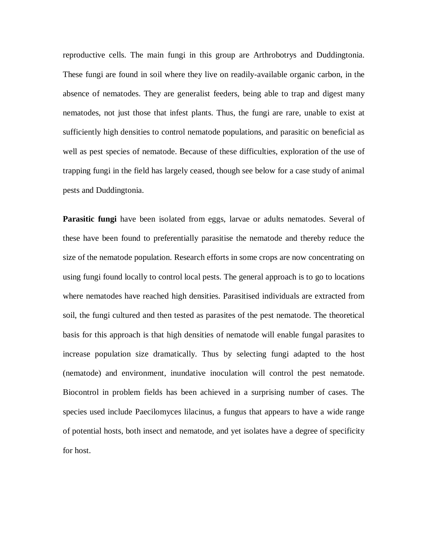reproductive cells. The main fungi in this group are Arthrobotrys and Duddingtonia. These fungi are found in soil where they live on readily-available organic carbon, in the absence of nematodes. They are generalist feeders, being able to trap and digest many nematodes, not just those that infest plants. Thus, the fungi are rare, unable to exist at sufficiently high densities to control nematode populations, and parasitic on beneficial as well as pest species of nematode. Because of these difficulties, exploration of the use of trapping fungi in the field has largely ceased, though see below for a case study of animal pests and Duddingtonia.

**Parasitic fungi** have been isolated from eggs, larvae or adults nematodes. Several of these have been found to preferentially parasitise the nematode and thereby reduce the size of the nematode population. Research efforts in some crops are now concentrating on using fungi found locally to control local pests. The general approach is to go to locations where nematodes have reached high densities. Parasitised individuals are extracted from soil, the fungi cultured and then tested as parasites of the pest nematode. The theoretical basis for this approach is that high densities of nematode will enable fungal parasites to increase population size dramatically. Thus by selecting fungi adapted to the host (nematode) and environment, inundative inoculation will control the pest nematode. Biocontrol in problem fields has been achieved in a surprising number of cases. The species used include Paecilomyces lilacinus, a fungus that appears to have a wide range of potential hosts, both insect and nematode, and yet isolates have a degree of specificity for host.